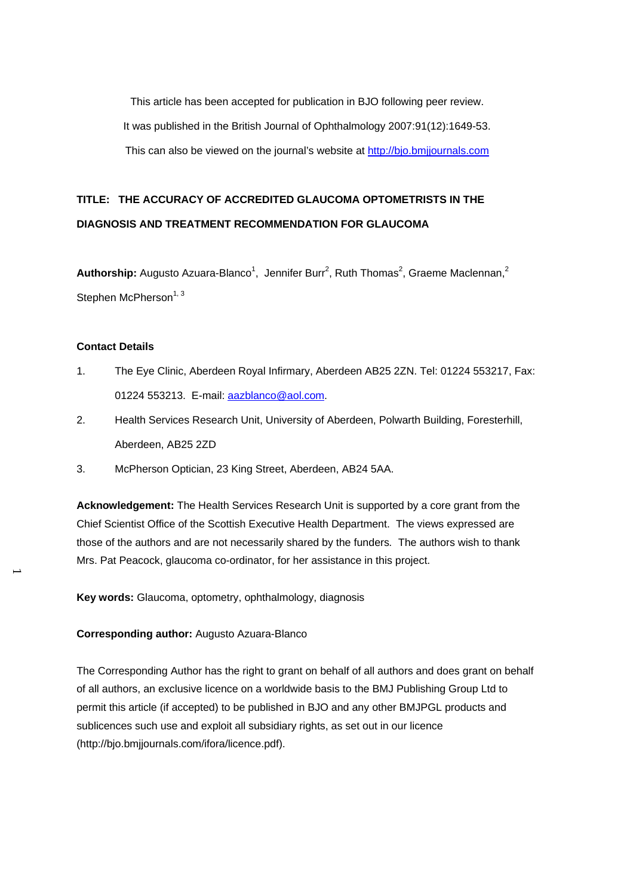This article has been accepted for publication in BJO following peer review. It was published in the British Journal of Ophthalmology 2007:91(12):1649-53. This can also be viewed on the journal's website at [http://bjo.bmjjournals.com](http://bjo.bmjjournals.com/)

# **TITLE: THE ACCURACY OF ACCREDITED GLAUCOMA OPTOMETRISTS IN THE DIAGNOSIS AND TREATMENT RECOMMENDATION FOR GLAUCOMA**

Authorship: Augusto Azuara-Blanco<sup>1</sup>, Jennifer Burr<sup>2</sup>, Ruth Thomas<sup>2</sup>, Graeme Maclennan,<sup>2</sup> Stephen McPherson $1, 3$ 

#### **Contact Details**

- 1. The Eye Clinic, Aberdeen Royal Infirmary, Aberdeen AB25 2ZN. Tel: 01224 553217, Fax: 01224 553213. E-mail: [aazblanco@aol.com.](mailto:aazblanco@aol.com)
- 2. Health Services Research Unit, University of Aberdeen, Polwarth Building, Foresterhill, Aberdeen, AB25 2ZD
- 3. McPherson Optician, 23 King Street, Aberdeen, AB24 5AA.

**Acknowledgement:** The Health Services Research Unit is supported by a core grant from the Chief Scientist Office of the Scottish Executive Health Department. The views expressed are those of the authors and are not necessarily shared by the funders*.* The authors wish to thank Mrs. Pat Peacock, glaucoma co-ordinator, for her assistance in this project.

**Key words:** Glaucoma, optometry, ophthalmology, diagnosis

### **Corresponding author:** Augusto Azuara-Blanco

The Corresponding Author has the right to grant on behalf of all authors and does grant on behalf of all authors, an exclusive licence on a worldwide basis to the BMJ Publishing Group Ltd to permit this article (if accepted) to be published in BJO and any other BMJPGL products and sublicences such use and exploit all subsidiary rights, as set out in our licence (http://bjo.bmjjournals.com/ifora/licence.pdf).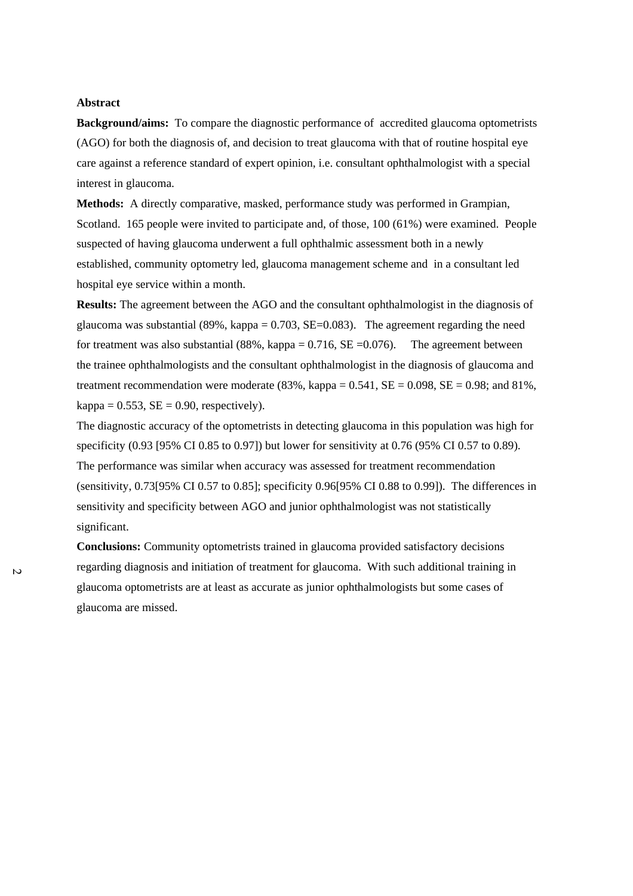## **Abstract**

**Background/aims:** To compare the diagnostic performance of accredited glaucoma optometrists (AGO) for both the diagnosis of, and decision to treat glaucoma with that of routine hospital eye care against a reference standard of expert opinion, i.e. consultant ophthalmologist with a special interest in glaucoma.

**Methods:** A directly comparative, masked, performance study was performed in Grampian, Scotland. 165 people were invited to participate and, of those, 100 (61%) were examined. People suspected of having glaucoma underwent a full ophthalmic assessment both in a newly established, community optometry led, glaucoma management scheme and in a consultant led hospital eye service within a month.

**Results:** The agreement between the AGO and the consultant ophthalmologist in the diagnosis of glaucoma was substantial (89%, kappa =  $0.703$ , SE= $0.083$ ). The agreement regarding the need for treatment was also substantial  $(88\%, \text{kappa} = 0.716, \text{SE} = 0.076)$ . The agreement between the trainee ophthalmologists and the consultant ophthalmologist in the diagnosis of glaucoma and treatment recommendation were moderate  $(83\%, \text{kappa} = 0.541, SE = 0.098, SE = 0.98; and 81\%$ ,  $kappa = 0.553$ ,  $SE = 0.90$ , respectively).

The diagnostic accuracy of the optometrists in detecting glaucoma in this population was high for specificity (0.93 [95% CI 0.85 to 0.97]) but lower for sensitivity at 0.76 (95% CI 0.57 to 0.89). The performance was similar when accuracy was assessed for treatment recommendation (sensitivity, 0.73[95% CI 0.57 to 0.85]; specificity 0.96[95% CI 0.88 to 0.99]). The differences in sensitivity and specificity between AGO and junior ophthalmologist was not statistically significant.

**Conclusions:** Community optometrists trained in glaucoma provided satisfactory decisions regarding diagnosis and initiation of treatment for glaucoma. With such additional training in glaucoma optometrists are at least as accurate as junior ophthalmologists but some cases of glaucoma are missed.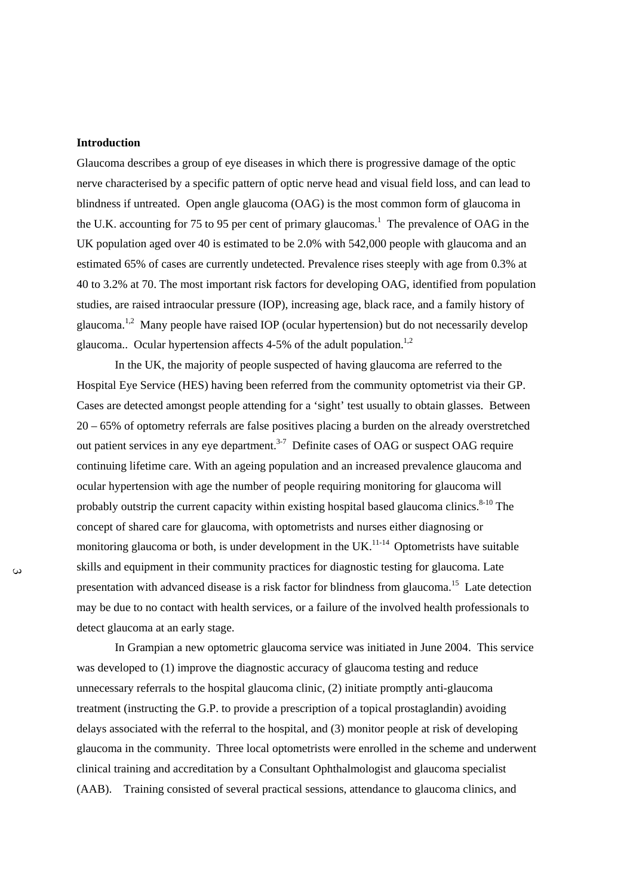#### **Introduction**

Glaucoma describes a group of eye diseases in which there is progressive damage of the optic nerve characterised by a specific pattern of optic nerve head and visual field loss, and can lead to blindness if untreated. Open angle glaucoma (OAG) is the most common form of glaucoma in the U.K. accounting for 75 to 95 per cent of primary glaucomas.<sup>1</sup> The prevalence of OAG in the UK population aged over 40 is estimated to be 2.0% with 542,000 people with glaucoma and an estimated 65% of cases are currently undetected. Prevalence rises steeply with age from 0.3% at 40 to 3.2% at 70. The most important risk factors for developing OAG, identified from population studies, are raised intraocular pressure (IOP), increasing age, black race, and a family history of glaucoma.<sup>1,2</sup> Many people have raised IOP (ocular hypertension) but do not necessarily develop glaucoma.. Ocular hypertension affects  $4-5%$  of the adult population.<sup>1,2</sup>

In the UK, the majority of people suspected of having glaucoma are referred to the Hospital Eye Service (HES) having been referred from the community optometrist via their GP. Cases are detected amongst people attending for a 'sight' test usually to obtain glasses. Between 20 – 65% of optometry referrals are false positives placing a burden on the already overstretched out patient services in any eye department.<sup>3-7</sup> Definite cases of OAG or suspect OAG require continuing lifetime care. With an ageing population and an increased prevalence glaucoma and ocular hypertension with age the number of people requiring monitoring for glaucoma will probably outstrip the current capacity within existing hospital based glaucoma clinics.<sup>8-10</sup> The concept of shared care for glaucoma, with optometrists and nurses either diagnosing or monitoring glaucoma or both, is under development in the  $UK<sup>11-14</sup>$  Optometrists have suitable skills and equipment in their community practices for diagnostic testing for glaucoma. Late presentation with advanced disease is a risk factor for blindness from glaucoma.15 Late detection may be due to no contact with health services, or a failure of the involved health professionals to detect glaucoma at an early stage.

In Grampian a new optometric glaucoma service was initiated in June 2004. This service was developed to (1) improve the diagnostic accuracy of glaucoma testing and reduce unnecessary referrals to the hospital glaucoma clinic, (2) initiate promptly anti-glaucoma treatment (instructing the G.P. to provide a prescription of a topical prostaglandin) avoiding delays associated with the referral to the hospital, and (3) monitor people at risk of developing glaucoma in the community. Three local optometrists were enrolled in the scheme and underwent clinical training and accreditation by a Consultant Ophthalmologist and glaucoma specialist (AAB). Training consisted of several practical sessions, attendance to glaucoma clinics, and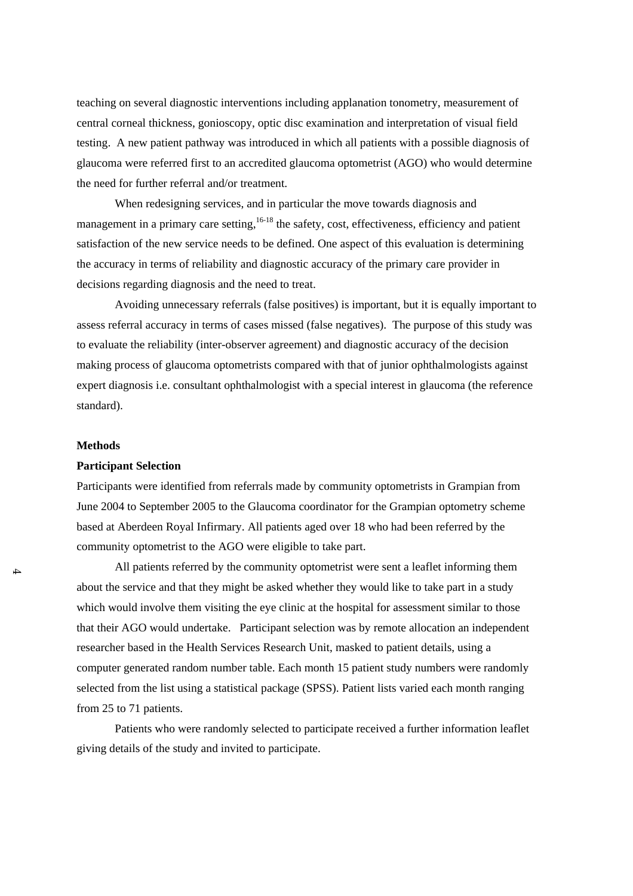teaching on several diagnostic interventions including applanation tonometry, measurement of central corneal thickness, gonioscopy, optic disc examination and interpretation of visual field testing. A new patient pathway was introduced in which all patients with a possible diagnosis of glaucoma were referred first to an accredited glaucoma optometrist (AGO) who would determine the need for further referral and/or treatment.

When redesigning services, and in particular the move towards diagnosis and management in a primary care setting, <sup>16-18</sup> the safety, cost, effectiveness, efficiency and patient satisfaction of the new service needs to be defined. One aspect of this evaluation is determining the accuracy in terms of reliability and diagnostic accuracy of the primary care provider in decisions regarding diagnosis and the need to treat.

Avoiding unnecessary referrals (false positives) is important, but it is equally important to assess referral accuracy in terms of cases missed (false negatives). The purpose of this study was to evaluate the reliability (inter-observer agreement) and diagnostic accuracy of the decision making process of glaucoma optometrists compared with that of junior ophthalmologists against expert diagnosis i.e. consultant ophthalmologist with a special interest in glaucoma (the reference standard).

#### **Methods**

### **Participant Selection**

Participants were identified from referrals made by community optometrists in Grampian from June 2004 to September 2005 to the Glaucoma coordinator for the Grampian optometry scheme based at Aberdeen Royal Infirmary. All patients aged over 18 who had been referred by the community optometrist to the AGO were eligible to take part.

All patients referred by the community optometrist were sent a leaflet informing them about the service and that they might be asked whether they would like to take part in a study which would involve them visiting the eye clinic at the hospital for assessment similar to those that their AGO would undertake. Participant selection was by remote allocation an independent researcher based in the Health Services Research Unit, masked to patient details, using a computer generated random number table. Each month 15 patient study numbers were randomly selected from the list using a statistical package (SPSS). Patient lists varied each month ranging from 25 to 71 patients.

Patients who were randomly selected to participate received a further information leaflet giving details of the study and invited to participate.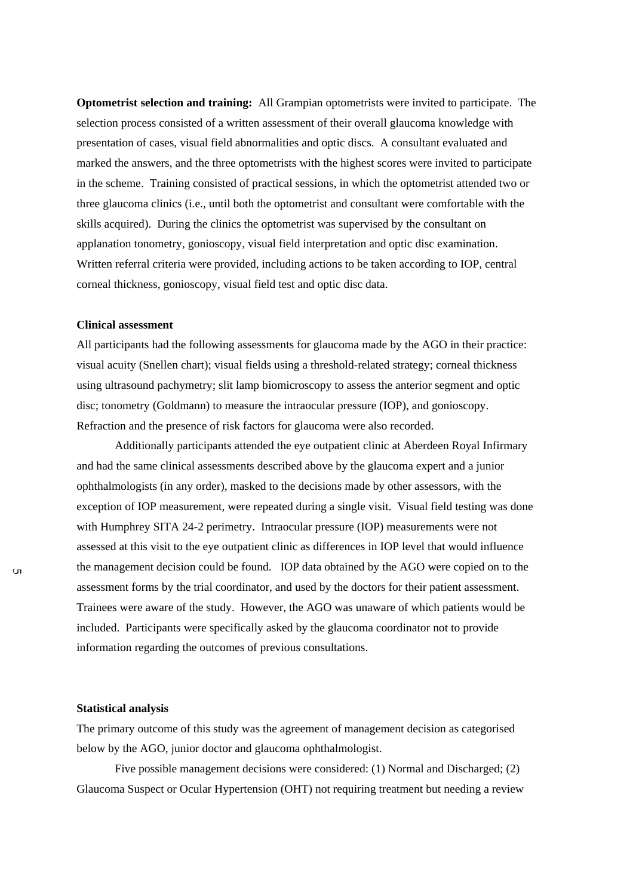**Optometrist selection and training:** All Grampian optometrists were invited to participate. The selection process consisted of a written assessment of their overall glaucoma knowledge with presentation of cases, visual field abnormalities and optic discs. A consultant evaluated and marked the answers, and the three optometrists with the highest scores were invited to participate in the scheme. Training consisted of practical sessions, in which the optometrist attended two or three glaucoma clinics (i.e., until both the optometrist and consultant were comfortable with the skills acquired). During the clinics the optometrist was supervised by the consultant on applanation tonometry, gonioscopy, visual field interpretation and optic disc examination. Written referral criteria were provided, including actions to be taken according to IOP, central corneal thickness, gonioscopy, visual field test and optic disc data.

## **Clinical assessment**

All participants had the following assessments for glaucoma made by the AGO in their practice: visual acuity (Snellen chart); visual fields using a threshold-related strategy; corneal thickness using ultrasound pachymetry; slit lamp biomicroscopy to assess the anterior segment and optic disc; tonometry (Goldmann) to measure the intraocular pressure (IOP), and gonioscopy. Refraction and the presence of risk factors for glaucoma were also recorded.

Additionally participants attended the eye outpatient clinic at Aberdeen Royal Infirmary and had the same clinical assessments described above by the glaucoma expert and a junior ophthalmologists (in any order), masked to the decisions made by other assessors, with the exception of IOP measurement, were repeated during a single visit. Visual field testing was done with Humphrey SITA 24-2 perimetry. Intraocular pressure (IOP) measurements were not assessed at this visit to the eye outpatient clinic as differences in IOP level that would influence the management decision could be found. IOP data obtained by the AGO were copied on to the assessment forms by the trial coordinator, and used by the doctors for their patient assessment. Trainees were aware of the study. However, the AGO was unaware of which patients would be included. Participants were specifically asked by the glaucoma coordinator not to provide information regarding the outcomes of previous consultations.

#### **Statistical analysis**

The primary outcome of this study was the agreement of management decision as categorised below by the AGO, junior doctor and glaucoma ophthalmologist.

Five possible management decisions were considered: (1) Normal and Discharged; (2) Glaucoma Suspect or Ocular Hypertension (OHT) not requiring treatment but needing a review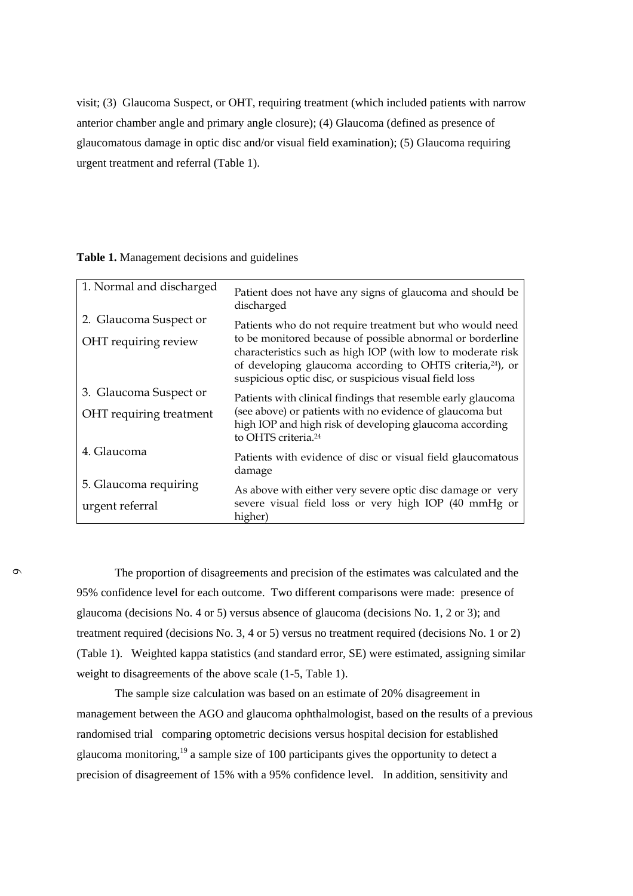visit; (3) Glaucoma Suspect, or OHT, requiring treatment (which included patients with narrow anterior chamber angle and primary angle closure); (4) Glaucoma (defined as presence of glaucomatous damage in optic disc and/or visual field examination); (5) Glaucoma requiring urgent treatment and referral (Table 1).

# **Table 1.** Management decisions and guidelines

| 1. Normal and discharged | Patient does not have any signs of glaucoma and should be<br>discharged                                                                                                                                                                                       |
|--------------------------|---------------------------------------------------------------------------------------------------------------------------------------------------------------------------------------------------------------------------------------------------------------|
| 2. Glaucoma Suspect or   | Patients who do not require treatment but who would need                                                                                                                                                                                                      |
| OHT requiring review     | to be monitored because of possible abnormal or borderline<br>characteristics such as high IOP (with low to moderate risk<br>of developing glaucoma according to OHTS criteria, <sup>24</sup> ), or<br>suspicious optic disc, or suspicious visual field loss |
| 3. Glaucoma Suspect or   | Patients with clinical findings that resemble early glaucoma                                                                                                                                                                                                  |
| OHT requiring treatment  | (see above) or patients with no evidence of glaucoma but<br>high IOP and high risk of developing glaucoma according<br>to OHTS criteria. <sup>24</sup>                                                                                                        |
| 4. Glaucoma              | Patients with evidence of disc or visual field glaucomatous<br>damage                                                                                                                                                                                         |
| 5. Glaucoma requiring    | As above with either very severe optic disc damage or very                                                                                                                                                                                                    |
| urgent referral          | severe visual field loss or very high IOP (40 mmHg or<br>higher)                                                                                                                                                                                              |

The proportion of disagreements and precision of the estimates was calculated and the 95% confidence level for each outcome.Two different comparisons were made: presence of glaucoma (decisions No. 4 or 5) versus absence of glaucoma (decisions No. 1, 2 or 3); and treatment required (decisions No. 3, 4 or 5) versus no treatment required (decisions No. 1 or 2) (Table 1). Weighted kappa statistics (and standard error, SE) were estimated, assigning similar weight to disagreements of the above scale (1-5, Table 1).

The sample size calculation was based on an estimate of 20% disagreement in management between the AGO and glaucoma ophthalmologist, based on the results of a previous randomised trial comparing optometric decisions versus hospital decision for established glaucoma monitoring,<sup>19</sup> a sample size of 100 participants gives the opportunity to detect a precision of disagreement of 15% with a 95% confidence level. In addition, sensitivity and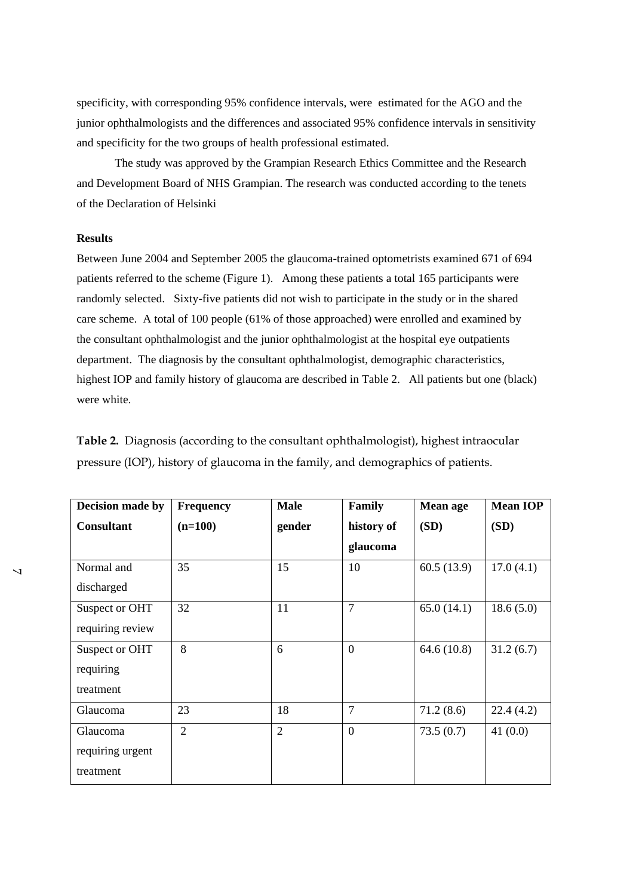specificity, with corresponding 95% confidence intervals, were estimated for the AGO and the junior ophthalmologists and the differences and associated 95% confidence intervals in sensitivity and specificity for the two groups of health professional estimated.

The study was approved by the Grampian Research Ethics Committee and the Research and Development Board of NHS Grampian. The research was conducted according to the tenets of the Declaration of Helsinki

# **Results**

Between June 2004 and September 2005 the glaucoma-trained optometrists examined 671 of 694 patients referred to the scheme (Figure 1). Among these patients a total 165 participants were randomly selected. Sixty-five patients did not wish to participate in the study or in the shared care scheme. A total of 100 people (61% of those approached) were enrolled and examined by the consultant ophthalmologist and the junior ophthalmologist at the hospital eye outpatients department. The diagnosis by the consultant ophthalmologist, demographic characteristics, highest IOP and family history of glaucoma are described in Table 2. All patients but one (black) were white.

**Table 2.** Diagnosis (according to the consultant ophthalmologist), highest intraocular pressure (IOP), history of glaucoma in the family, and demographics of patients.

| Decision made by  | <b>Frequency</b> | <b>Male</b>    | Family         | Mean age   | <b>Mean IOP</b> |  |
|-------------------|------------------|----------------|----------------|------------|-----------------|--|
| <b>Consultant</b> | $(n=100)$        | gender         | history of     | (SD)       | (SD)            |  |
|                   |                  |                | glaucoma       |            |                 |  |
| Normal and        | 35               | 15             | 10             | 60.5(13.9) | 17.0(4.1)       |  |
| discharged        |                  |                |                |            |                 |  |
| Suspect or OHT    | 32               | 11             | $\overline{7}$ | 65.0(14.1) | 18.6(5.0)       |  |
| requiring review  |                  |                |                |            |                 |  |
| Suspect or OHT    | 8                | 6              | $\overline{0}$ | 64.6(10.8) | 31.2(6.7)       |  |
| requiring         |                  |                |                |            |                 |  |
| treatment         |                  |                |                |            |                 |  |
| Glaucoma          | 23               | 18             | $\overline{7}$ | 71.2(8.6)  | 22.4(4.2)       |  |
| Glaucoma          | $\overline{2}$   | $\overline{2}$ | $\overline{0}$ | 73.5(0.7)  | 41 $(0.0)$      |  |
| requiring urgent  |                  |                |                |            |                 |  |
| treatment         |                  |                |                |            |                 |  |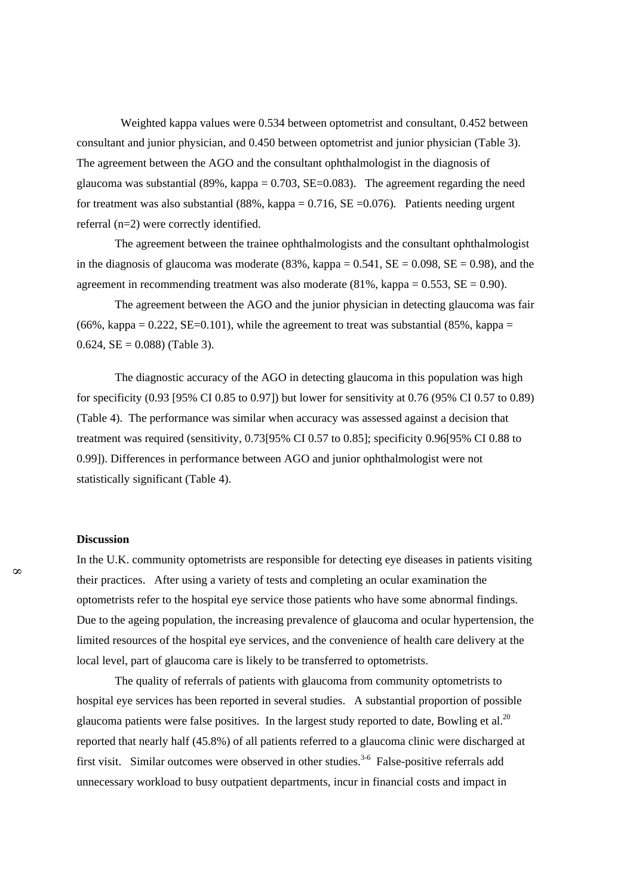Weighted kappa values were 0.534 between optometrist and consultant, 0.452 between consultant and junior physician, and 0.450 between optometrist and junior physician (Table 3). The agreement between the AGO and the consultant ophthalmologist in the diagnosis of glaucoma was substantial  $(89\%, \text{kappa} = 0.703, SE = 0.083)$ . The agreement regarding the need for treatment was also substantial  $(88\%, \text{kappa} = 0.716, \text{SE} = 0.076)$ . Patients needing urgent referral (n=2) were correctly identified.

The agreement between the trainee ophthalmologists and the consultant ophthalmologist in the diagnosis of glaucoma was moderate (83%, kappa =  $0.541$ , SE =  $0.098$ , SE =  $0.98$ ), and the agreement in recommending treatment was also moderate  $(81\%, \text{kappa} = 0.553, SE = 0.90)$ .

The agreement between the AGO and the junior physician in detecting glaucoma was fair  $(66\%, \text{kappa}) = 0.222$ , SE=0.101), while the agreement to treat was substantial  $(85\%, \text{kappa}) = 0.222$ 0.624,  $SE = 0.088$  (Table 3).

The diagnostic accuracy of the AGO in detecting glaucoma in this population was high for specificity (0.93 [95% CI 0.85 to 0.97]) but lower for sensitivity at 0.76 (95% CI 0.57 to 0.89) (Table 4). The performance was similar when accuracy was assessed against a decision that treatment was required (sensitivity, 0.73[95% CI 0.57 to 0.85]; specificity 0.96[95% CI 0.88 to 0.99]). Differences in performance between AGO and junior ophthalmologist were not statistically significant (Table 4).

#### **Discussion**

In the U.K. community optometrists are responsible for detecting eye diseases in patients visiting their practices. After using a variety of tests and completing an ocular examination the optometrists refer to the hospital eye service those patients who have some abnormal findings. Due to the ageing population, the increasing prevalence of glaucoma and ocular hypertension, the limited resources of the hospital eye services, and the convenience of health care delivery at the local level, part of glaucoma care is likely to be transferred to optometrists.

The quality of referrals of patients with glaucoma from community optometrists to hospital eye services has been reported in several studies. A substantial proportion of possible glaucoma patients were false positives. In the largest study reported to date, Bowling et al.<sup>20</sup> reported that nearly half (45.8%) of all patients referred to a glaucoma clinic were discharged at first visit. Similar outcomes were observed in other studies.<sup>3-6</sup> False-positive referrals add unnecessary workload to busy outpatient departments, incur in financial costs and impact in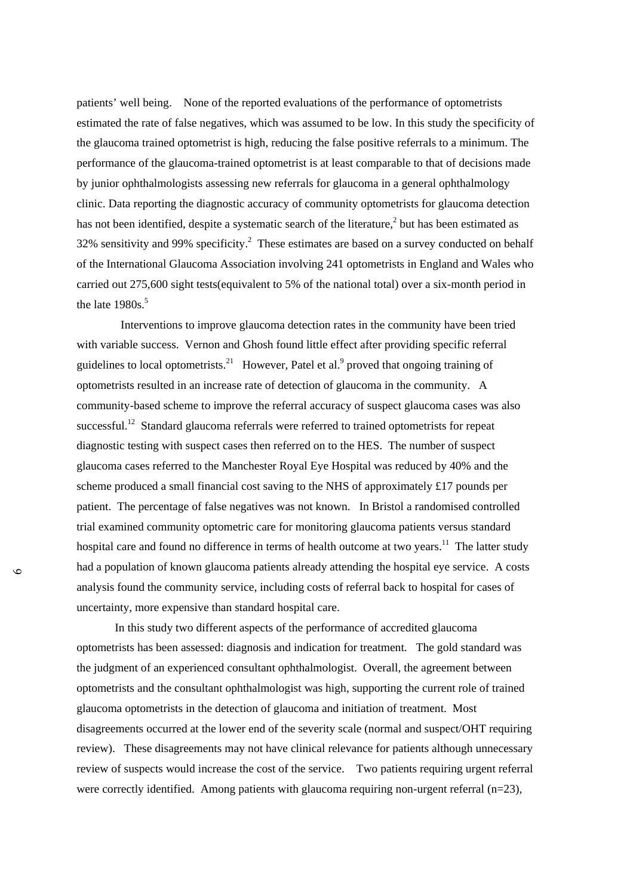patients' well being. None of the reported evaluations of the performance of optometrists estimated the rate of false negatives, which was assumed to be low. In this study the specificity of the glaucoma trained optometrist is high, reducing the false positive referrals to a minimum. The performance of the glaucoma-trained optometrist is at least comparable to that of decisions made by junior ophthalmologists assessing new referrals for glaucoma in a general ophthalmology clinic. Data reporting the diagnostic accuracy of community optometrists for glaucoma detection has not been identified, despite a systematic search of the literature,<sup>2</sup> but has been estimated as 32% sensitivity and 99% specificity.<sup>2</sup> These estimates are based on a survey conducted on behalf of the International Glaucoma Association involving 241 optometrists in England and Wales who carried out 275,600 sight tests(equivalent to 5% of the national total) over a six-month period in the late  $1980s$ .<sup>5</sup>

 Interventions to improve glaucoma detection rates in the community have been tried with variable success. Vernon and Ghosh found little effect after providing specific referral guidelines to local optometrists.<sup>21</sup> However, Patel et al.<sup>9</sup> proved that ongoing training of optometrists resulted in an increase rate of detection of glaucoma in the community. A community-based scheme to improve the referral accuracy of suspect glaucoma cases was also successful.<sup>12</sup> Standard glaucoma referrals were referred to trained optometrists for repeat diagnostic testing with suspect cases then referred on to the HES. The number of suspect glaucoma cases referred to the Manchester Royal Eye Hospital was reduced by 40% and the scheme produced a small financial cost saving to the NHS of approximately £17 pounds per patient. The percentage of false negatives was not known. In Bristol a randomised controlled trial examined community optometric care for monitoring glaucoma patients versus standard hospital care and found no difference in terms of health outcome at two years.<sup>11</sup> The latter study had a population of known glaucoma patients already attending the hospital eye service. A costs analysis found the community service, including costs of referral back to hospital for cases of uncertainty, more expensive than standard hospital care.

In this study two different aspects of the performance of accredited glaucoma optometrists has been assessed: diagnosis and indication for treatment. The gold standard was the judgment of an experienced consultant ophthalmologist. Overall, the agreement between optometrists and the consultant ophthalmologist was high, supporting the current role of trained glaucoma optometrists in the detection of glaucoma and initiation of treatment. Most disagreements occurred at the lower end of the severity scale (normal and suspect/OHT requiring review). These disagreements may not have clinical relevance for patients although unnecessary review of suspects would increase the cost of the service. Two patients requiring urgent referral were correctly identified. Among patients with glaucoma requiring non-urgent referral (n=23),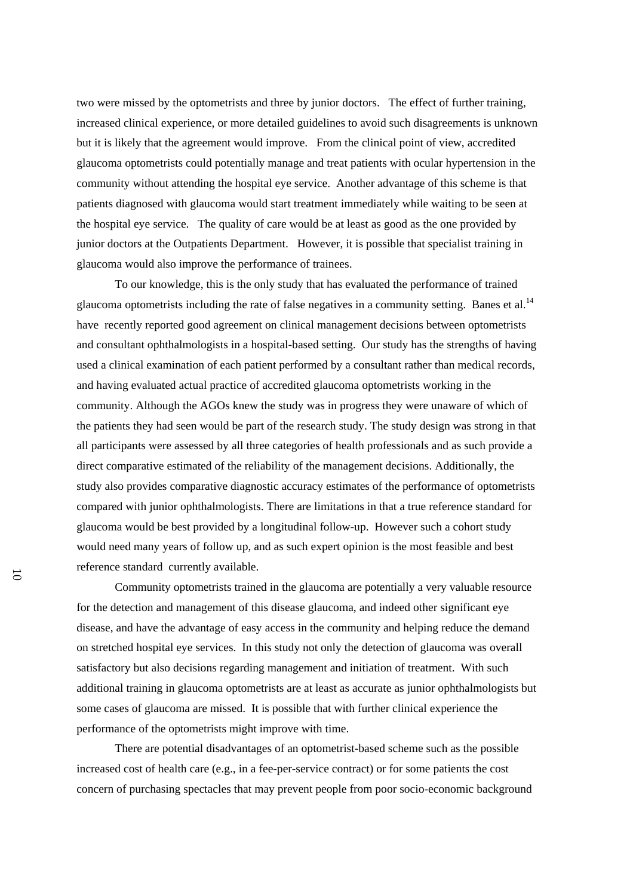two were missed by the optometrists and three by junior doctors. The effect of further training, increased clinical experience, or more detailed guidelines to avoid such disagreements is unknown but it is likely that the agreement would improve. From the clinical point of view, accredited glaucoma optometrists could potentially manage and treat patients with ocular hypertension in the community without attending the hospital eye service. Another advantage of this scheme is that patients diagnosed with glaucoma would start treatment immediately while waiting to be seen at the hospital eye service. The quality of care would be at least as good as the one provided by junior doctors at the Outpatients Department. However, it is possible that specialist training in glaucoma would also improve the performance of trainees.

To our knowledge, this is the only study that has evaluated the performance of trained glaucoma optometrists including the rate of false negatives in a community setting. Banes et al.<sup>14</sup> have recently reported good agreement on clinical management decisions between optometrists and consultant ophthalmologists in a hospital-based setting. Our study has the strengths of having used a clinical examination of each patient performed by a consultant rather than medical records, and having evaluated actual practice of accredited glaucoma optometrists working in the community. Although the AGOs knew the study was in progress they were unaware of which of the patients they had seen would be part of the research study. The study design was strong in that all participants were assessed by all three categories of health professionals and as such provide a direct comparative estimated of the reliability of the management decisions. Additionally, the study also provides comparative diagnostic accuracy estimates of the performance of optometrists compared with junior ophthalmologists. There are limitations in that a true reference standard for glaucoma would be best provided by a longitudinal follow-up. However such a cohort study would need many years of follow up, and as such expert opinion is the most feasible and best reference standard currently available.

Community optometrists trained in the glaucoma are potentially a very valuable resource for the detection and management of this disease glaucoma, and indeed other significant eye disease, and have the advantage of easy access in the community and helping reduce the demand on stretched hospital eye services. In this study not only the detection of glaucoma was overall satisfactory but also decisions regarding management and initiation of treatment. With such additional training in glaucoma optometrists are at least as accurate as junior ophthalmologists but some cases of glaucoma are missed. It is possible that with further clinical experience the performance of the optometrists might improve with time.

There are potential disadvantages of an optometrist-based scheme such as the possible increased cost of health care (e.g., in a fee-per-service contract) or for some patients the cost concern of purchasing spectacles that may prevent people from poor socio-economic background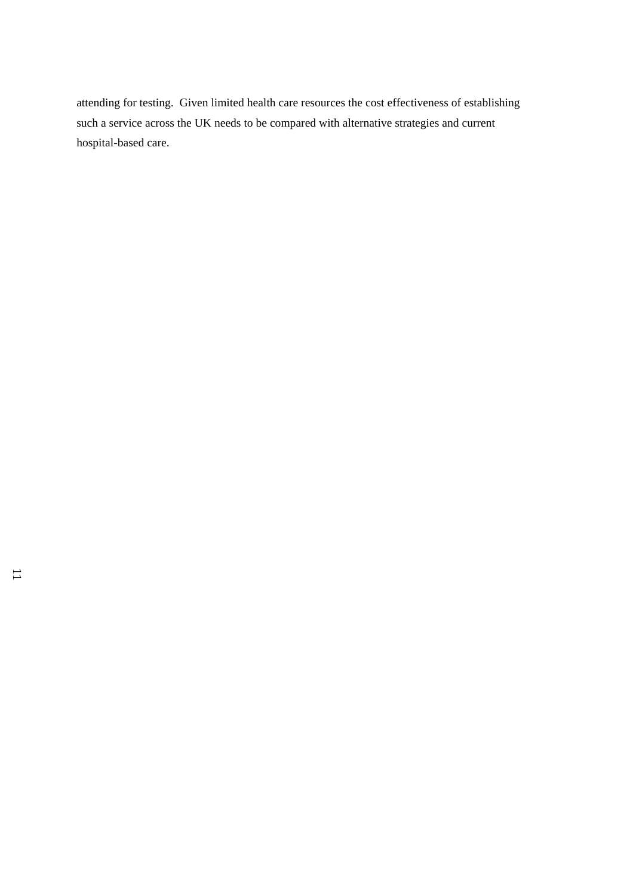attending for testing. Given limited health care resources the cost effectiveness of establishing such a service across the UK needs to be compared with alternative strategies and current hospital-based care.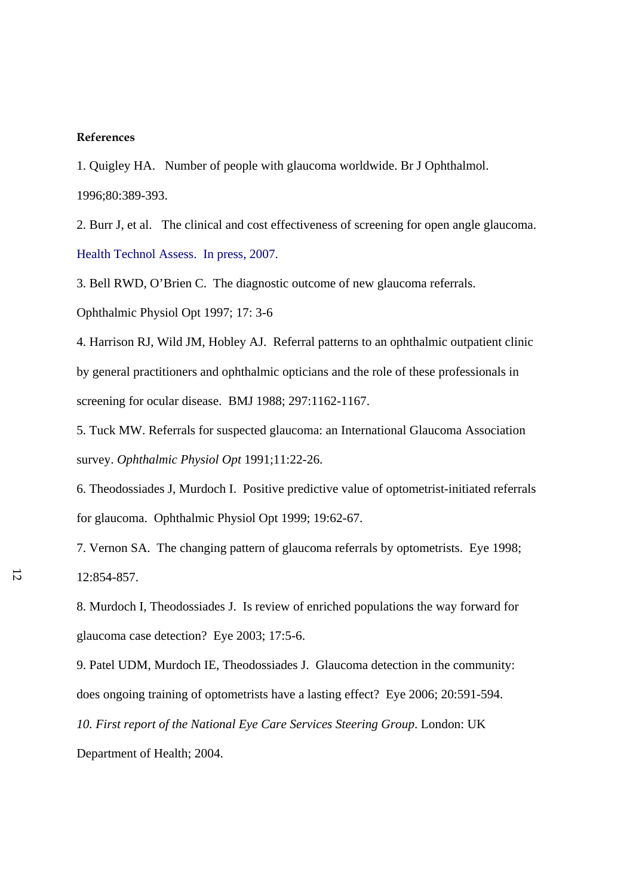# **References**

1. Quigley HA. Number of people with glaucoma worldwide. Br J Ophthalmol. 1996;80:389-393.

2. Burr J, et al. The clinical and cost effectiveness of screening for open angle glaucoma. Health Technol Assess. In press, 2007.

3. Bell RWD, O'Brien C. The diagnostic outcome of new glaucoma referrals. Ophthalmic Physiol Opt 1997; 17: 3-6

4. Harrison RJ, Wild JM, Hobley AJ. Referral patterns to an ophthalmic outpatient clinic by general practitioners and ophthalmic opticians and the role of these professionals in screening for ocular disease. BMJ 1988; 297:1162-1167.

5. Tuck MW. Referrals for suspected glaucoma: an International Glaucoma Association survey. *Ophthalmic Physiol Opt* 1991;11:22-26.

6. Theodossiades J, Murdoch I. Positive predictive value of optometrist-initiated referrals for glaucoma. Ophthalmic Physiol Opt 1999; 19:62-67.

7. Vernon SA. The changing pattern of glaucoma referrals by optometrists. Eye 1998; 12:854-857.

8. Murdoch I, Theodossiades J. Is review of enriched populations the way forward for glaucoma case detection? Eye 2003; 17:5-6.

9. Patel UDM, Murdoch IE, Theodossiades J. Glaucoma detection in the community: does ongoing training of optometrists have a lasting effect? Eye 2006; 20:591-594. *10. First report of the National Eye Care Services Steering Group*. London: UK Department of Health; 2004.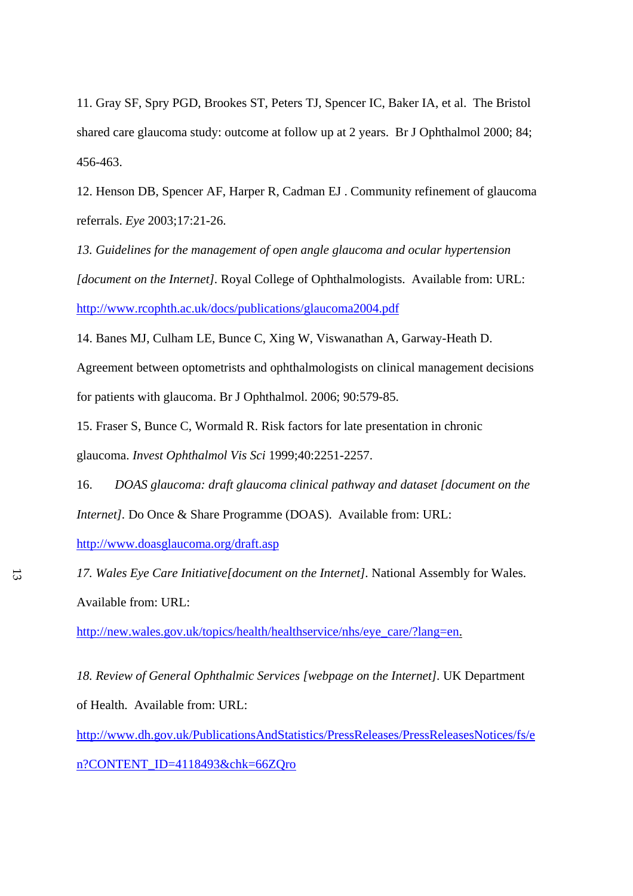11. Gray SF, Spry PGD, Brookes ST, Peters TJ, Spencer IC, Baker IA, et al. The Bristol shared care glaucoma study: outcome at follow up at 2 years. Br J Ophthalmol 2000; 84; 456-463.

12. Henson DB, Spencer AF, Harper R*,* Cadman EJ . Community refinement of glaucoma referrals. *Eye* 2003;17:21-26.

*13. Guidelines for the management of open angle glaucoma and ocular hypertension [document on the Internet].* Royal College of Ophthalmologists. Available from: URL: <http://www.rcophth.ac.uk/docs/publications/glaucoma2004.pdf>

14. Banes MJ, Culham LE, Bunce C, Xing W, Viswanathan A, Garway-Heath D.

Agreement between optometrists and ophthalmologists on clinical management decisions for patients with glaucoma. Br J Ophthalmol. 2006; 90:579-85.

15. Fraser S, Bunce C, Wormald R. Risk factors for late presentation in chronic glaucoma. *Invest Ophthalmol Vis Sci* 1999;40:2251-2257.

 16. *DOAS glaucoma: draft glaucoma clinical pathway and dataset [document on the Internet].* Do Once & Share Programme (DOAS). Available from: URL:

<http://www.doasglaucoma.org/draft.asp>

*17. Wales Eye Care Initiative[document on the Internet].* National Assembly for Wales. Available from: URL:

[http://new.wales.gov.uk/topics/health/healthservice/nhs/eye\\_care/?lang=en.](http://new.wales.gov.uk/topics/health/healthservice/nhs/eye_care/?lang=en)

*18. Review of General Ophthalmic Services [webpage on the Internet].* UK Department of Health. Available from: URL:

[http://www.dh.gov.uk/PublicationsAndStatistics/PressReleases/PressReleasesNotices/fs/e](http://www.dh.gov.uk/PublicationsAndStatistics/PressReleases/PressReleasesNotices/fs/en?CONTENT_ID=4118493&chk=66ZQro) [n?CONTENT\\_ID=4118493&chk=66ZQro](http://www.dh.gov.uk/PublicationsAndStatistics/PressReleases/PressReleasesNotices/fs/en?CONTENT_ID=4118493&chk=66ZQro)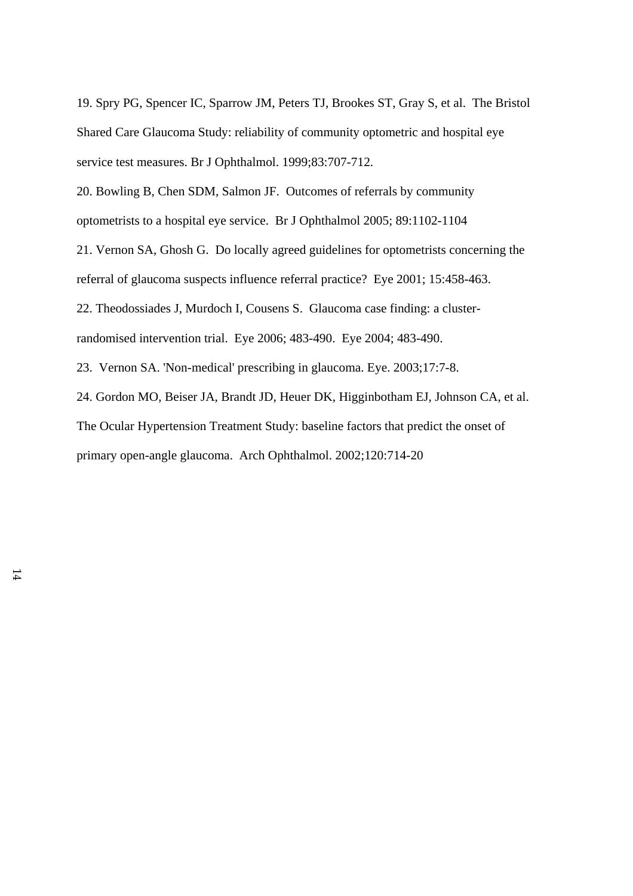19. Spry PG, Spencer IC, Sparrow JM, Peters TJ, Brookes ST, Gray S, et al. The Bristol Shared Care Glaucoma Study: reliability of community optometric and hospital eye service test measures. Br J Ophthalmol. 1999;83:707-712.

20. Bowling B, Chen SDM, Salmon JF. Outcomes of referrals by community optometrists to a hospital eye service. Br J Ophthalmol 2005; 89:1102-1104

21. Vernon SA, Ghosh G. Do locally agreed guidelines for optometrists concerning the referral of glaucoma suspects influence referral practice? Eye 2001; 15:458-463.

22. Theodossiades J, Murdoch I, Cousens S. Glaucoma case finding: a cluster-

randomised intervention trial. Eye 2006; 483-490. Eye 2004; 483-490.

23. Vernon SA. 'Non-medical' prescribing in glaucoma. Eye. 2003;17:7-8.

24. Gordon MO, Beiser JA, Brandt JD, Heuer DK, Higginbotham EJ, Johnson CA, et al. The Ocular Hypertension Treatment Study: baseline factors that predict the onset of primary open-angle glaucoma. Arch Ophthalmol. 2002;120:714-20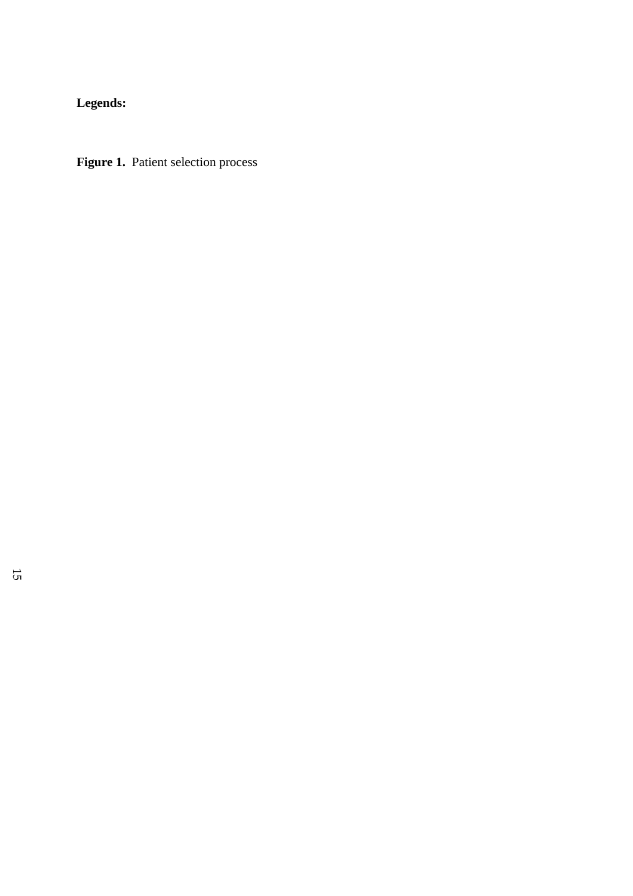**Legends:** 

Figure 1. Patient selection process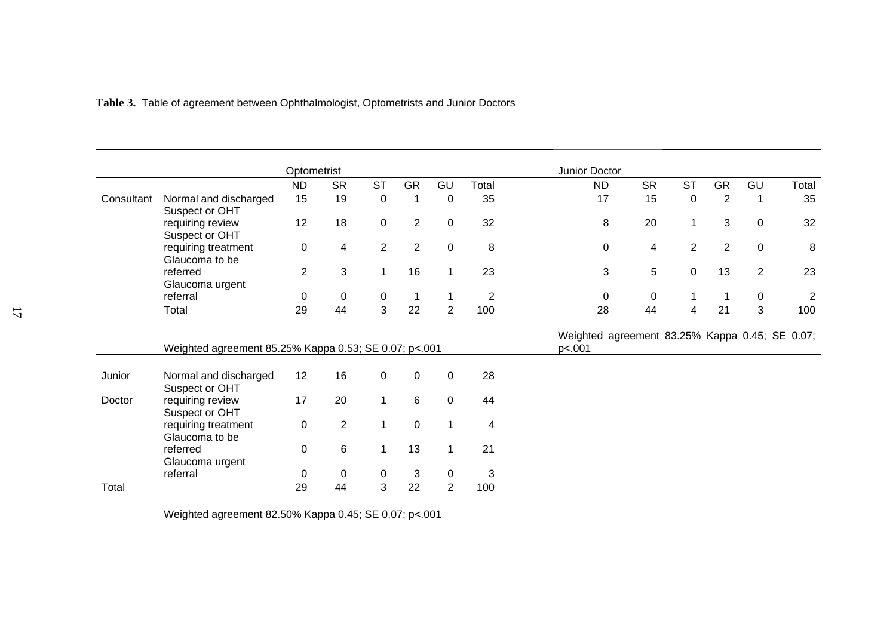|  |  | Table 3. Table of agreement between Ophthalmologist, Optometrists and Junior Doctors |  |  |  |
|--|--|--------------------------------------------------------------------------------------|--|--|--|
|  |  |                                                                                      |  |  |  |

|            |                                                       | Optometrist    |                |                |                |                |                                                          | Junior Doctor |                |                |                |                |                |
|------------|-------------------------------------------------------|----------------|----------------|----------------|----------------|----------------|----------------------------------------------------------|---------------|----------------|----------------|----------------|----------------|----------------|
|            |                                                       | <b>ND</b>      | <b>SR</b>      | <b>ST</b>      | <b>GR</b>      | GU             | Total                                                    | <b>ND</b>     | <b>SR</b>      | <b>ST</b>      | <b>GR</b>      | GU             | Total          |
| Consultant | Normal and discharged<br>Suspect or OHT               | 15             | 19             | $\mathbf 0$    | $\mathbf 1$    | $\mathbf 0$    | 35                                                       | 17            | 15             | $\pmb{0}$      | $\overline{2}$ | 1              | 35             |
|            | requiring review<br>Suspect or OHT                    | 12             | 18             | $\mathbf 0$    | $\overline{2}$ | $\mathbf 0$    | 32                                                       | 8             | 20             | $\mathbf{1}$   | 3              | $\pmb{0}$      | 32             |
|            | requiring treatment<br>Glaucoma to be                 | 0              | 4              | $\overline{2}$ | $\overline{2}$ | $\pmb{0}$      | $\, 8$                                                   | $\mathbf 0$   | $\overline{4}$ | $\overline{2}$ | $\overline{2}$ | $\pmb{0}$      | 8              |
|            | referred<br>Glaucoma urgent                           | $\overline{2}$ | 3              | 1              | 16             | $\mathbf{1}$   | 23                                                       | 3             | $5\,$          | $\mathbf 0$    | 13             | $\overline{c}$ | 23             |
|            | referral                                              | 0              | $\mathsf 0$    | $\overline{0}$ | $\mathbf 1$    | 1              | $\overline{2}$                                           | 0             | $\mathbf 0$    | 1              |                | $\pmb{0}$      | $\overline{2}$ |
|            | Total                                                 | 29             | 44             | 3              | 22             | $\overline{2}$ | 100                                                      | 28            | 44             | 4              | 21             | 3              | 100            |
|            | Weighted agreement 85.25% Kappa 0.53; SE 0.07; p<.001 |                |                |                |                |                | Weighted agreement 83.25% Kappa 0.45; SE 0.07;<br>p<.001 |               |                |                |                |                |                |
| Junior     | Normal and discharged<br>Suspect or OHT               | 12             | 16             | 0              | $\pmb{0}$      | $\mathbf 0$    | 28                                                       |               |                |                |                |                |                |
| Doctor     | requiring review<br>Suspect or OHT                    | 17             | 20             | $\mathbf{1}$   | 6              | $\mathbf 0$    | 44                                                       |               |                |                |                |                |                |
|            | requiring treatment<br>Glaucoma to be                 | 0              | $\overline{2}$ | 1              | $\mathbf 0$    | 1              | 4                                                        |               |                |                |                |                |                |
|            | referred<br>Glaucoma urgent                           | 0              | 6              | 1              | 13             | 1              | 21                                                       |               |                |                |                |                |                |
|            | referral                                              | 0              | 0              | 0              | 3              | $\mathbf 0$    | 3                                                        |               |                |                |                |                |                |
| Total      |                                                       | 29             | 44             | 3              | 22             | $\overline{2}$ | 100                                                      |               |                |                |                |                |                |
|            | Weighted agreement 82.50% Kappa 0.45; SE 0.07; p<.001 |                |                |                |                |                |                                                          |               |                |                |                |                |                |